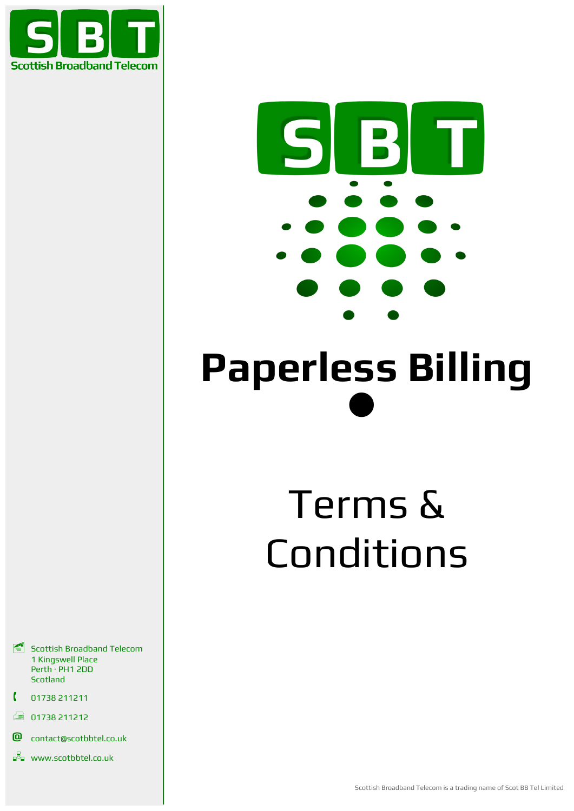



# **Paperless Billing**  $\bullet$

# Terms & Conditions

- Scottish Broadband Telecom 1 Kingswell Place Perth · PH1 2DD **Scotland**
- 01738 211211
- 01738 211212
- **@** contact@scotbbtel.co.uk
- **www.scotbbtel.co.uk**